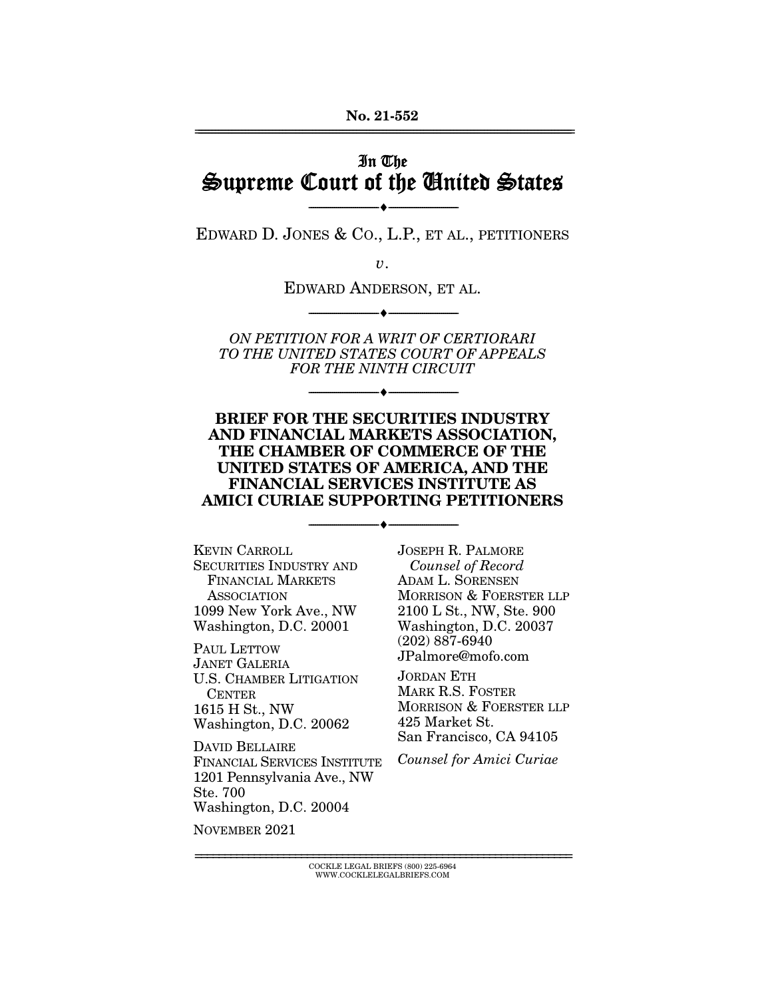## In The Supreme Court of the United States

 $\overbrace{\hspace{27mm}}$   $\overbrace{\hspace{27mm}}$ EDWARD D. JONES & CO., L.P., ET AL., PETITIONERS

 $\upsilon$ .

EDWARD ANDERSON, ET AL.

 $\overbrace{\hspace{27mm}}$   $\overbrace{\hspace{27mm}}$ ON PETITION FOR A WRIT OF CERTIORARI TO THE UNITED STATES COURT OF APPEALS FOR THE NINTH CIRCUIT

 $\overbrace{\hspace{27mm}}$   $\overbrace{\hspace{27mm}}$ 

#### **BRIEF FOR THE SECURITIES INDUSTRY AND FINANCIAL MARKETS ASSOCIATION, THE CHAMBER OF COMMERCE OF THE UNITED STATES OF AMERICA, AND THE FINANCIAL SERVICES INSTITUTE AS AMICI CURIAE SUPPORTING PETITIONERS**

 $\overbrace{\hspace{27mm}}$   $\overbrace{\hspace{27mm}}$ **KEVIN CARROLL SECURITIES INDUSTRY AND** FINANCIAL MARKETS ASSOCIATION 1099 New York Ave., NW Washington, D.C. 20001

PAUL LETTOW **JANET GALERIA U.S. CHAMBER LITIGATION** CENTER 1615 H St., NW Washington, D.C. 20062

DAVID BELLAIRE FINANCIAL SERVICES INSTITUTE 1201 Pennsylvania Ave., NW Ste. 700 Washington, D.C. 20004

Counsel of Record ADAM L. SORENSEN<br>MORRISON & FOERSTER LLP 2100 L St., NW, Ste. 900 Washington, D.C. 20037  $(202)$  887-6940  $JPalmore@mofo.com$ 

JORDAN ETH MARK R.S. FOSTER MORRISON & FOERSTER LLP 425 Market St. San Francisco, CA 94105

San Francisco, CA 94105 Counsel for Amici Curiae

NOVEMBER 2021 november 2021<br>2021

> ================================================================ COCKLE LEGAL BRIEFS (800) 225-6964 WWW.COCKLELEGALBRIEFS.COM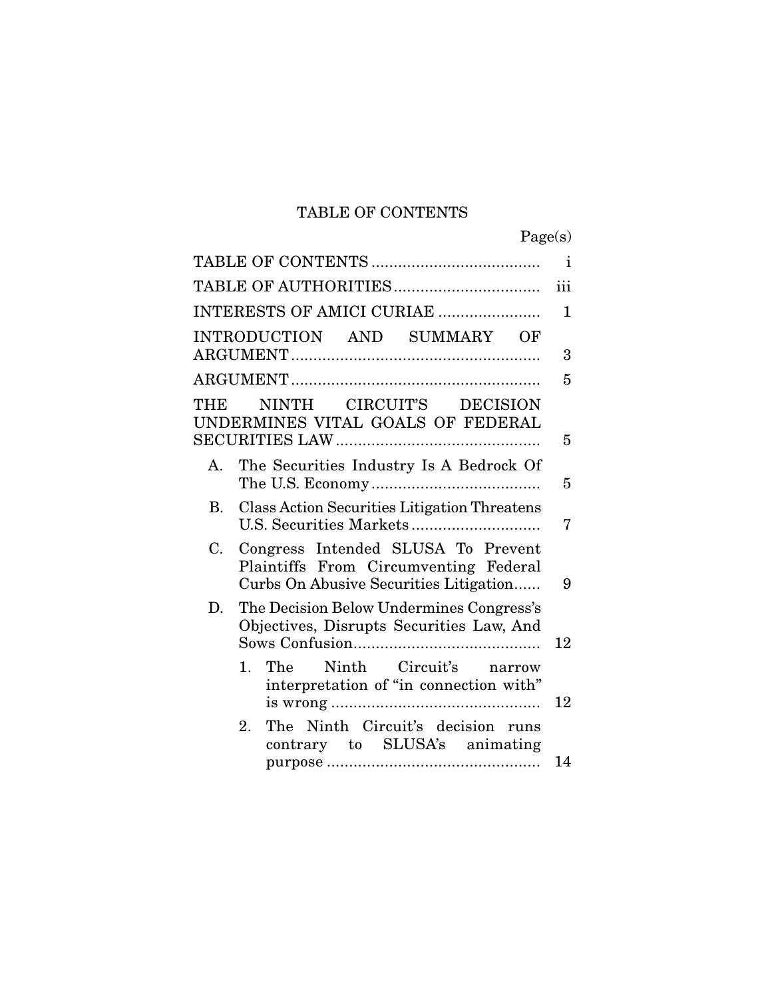## TABLE OF CONTENTS

|                                                                                                                             | Page(s)      |
|-----------------------------------------------------------------------------------------------------------------------------|--------------|
|                                                                                                                             | $\mathbf{i}$ |
|                                                                                                                             | iii          |
| INTERESTS OF AMICI CURIAE                                                                                                   | $\mathbf{1}$ |
| INTRODUCTION AND SUMMARY<br>OF                                                                                              | 3            |
|                                                                                                                             | 5            |
| NINTH CIRCUIT'S DECISION<br>THE<br>UNDERMINES VITAL GOALS OF FEDERAL                                                        | 5            |
| The Securities Industry Is A Bedrock Of<br>А.                                                                               | 5            |
| <b>B.</b><br>Class Action Securities Litigation Threatens                                                                   | 7            |
| C.<br>Congress Intended SLUSA To Prevent<br>Plaintiffs From Circumventing Federal<br>Curbs On Abusive Securities Litigation | 9            |
| D.<br>The Decision Below Undermines Congress's<br>Objectives, Disrupts Securities Law, And                                  | 12           |
| Ninth Circuit's<br>The<br>$1_{-}$<br>narrow<br>interpretation of "in connection with"                                       | 12           |
| The Ninth Circuit's decision<br>$2_{-}$<br>runs<br>contrary to SLUSA's animating                                            | 14           |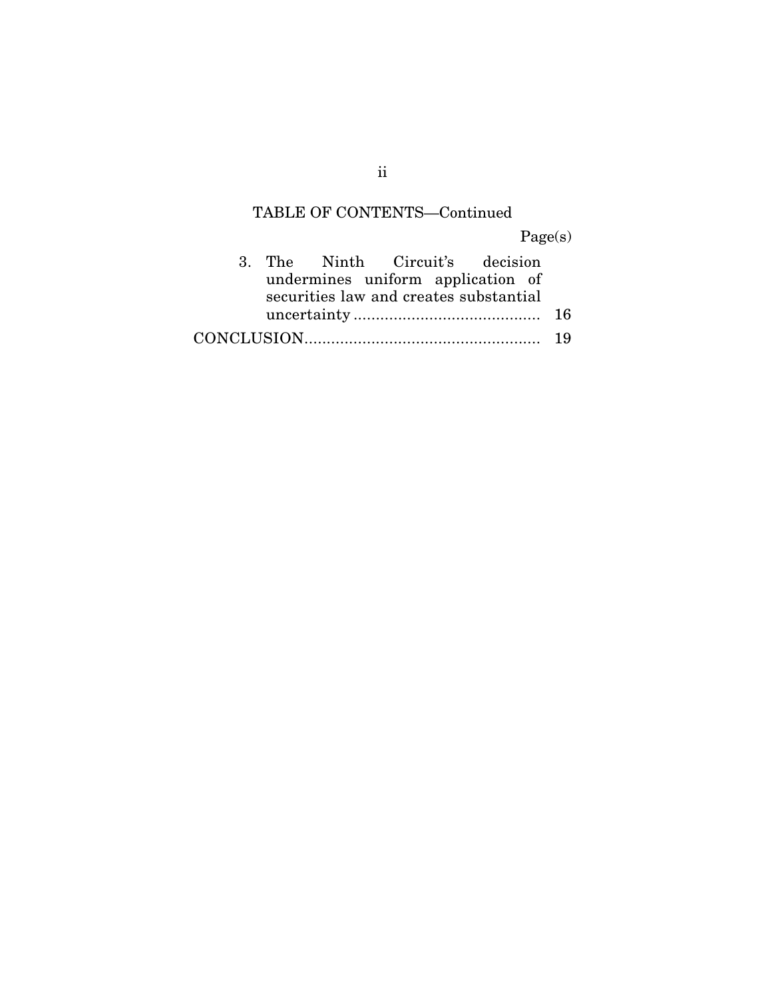# TABLE OF CONTENTS—Continued

Page(s)

|  | 3. The Ninth Circuit's decision        |  |  |  |
|--|----------------------------------------|--|--|--|
|  | undermines uniform application of      |  |  |  |
|  | securities law and creates substantial |  |  |  |
|  |                                        |  |  |  |
|  |                                        |  |  |  |

ii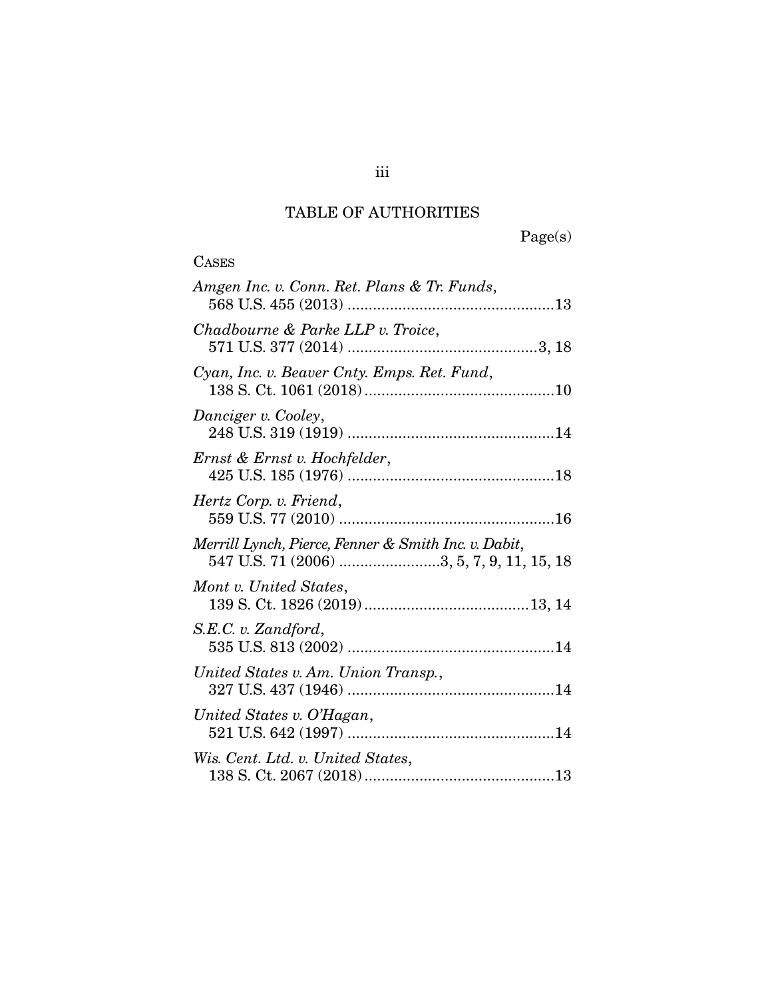## TABLE OF AUTHORITIES

**CASES** 

Page(s)

| Amgen Inc. v. Conn. Ret. Plans & Tr. Funds,                                                       |
|---------------------------------------------------------------------------------------------------|
| Chadbourne & Parke LLP v. Troice,                                                                 |
| Cyan, Inc. v. Beaver Cnty. Emps. Ret. Fund,                                                       |
| Danciger v. Cooley,                                                                               |
| Ernst & Ernst v. Hochfelder,                                                                      |
| Hertz Corp. v. Friend,                                                                            |
| Merrill Lynch, Pierce, Fenner & Smith Inc. v. Dabit,<br>547 U.S. 71 (2006) 3, 5, 7, 9, 11, 15, 18 |
| Mont v. United States,                                                                            |
| S.E.C. v. Zandford,                                                                               |
| United States v. Am. Union Transp.,                                                               |
| United States v. O'Hagan,                                                                         |
| Wis. Cent. Ltd. v. United States,                                                                 |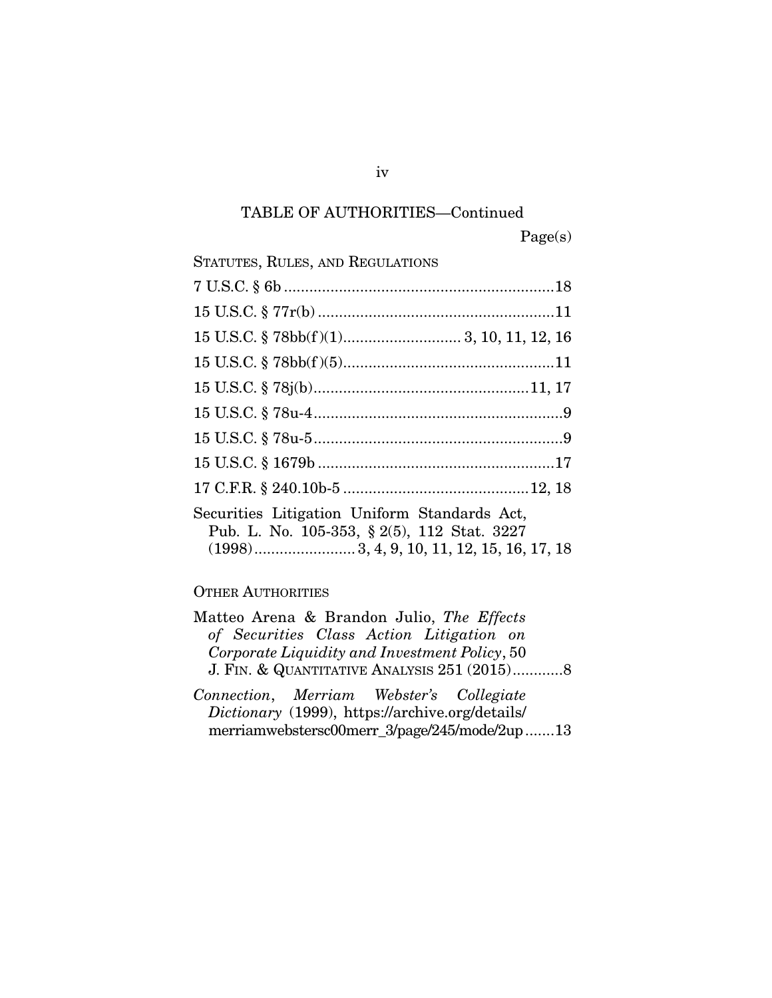## TABLE OF AUTHORITIES—Continued

Page(s)

| STATUTES, RULES, AND REGULATIONS                                                            |  |
|---------------------------------------------------------------------------------------------|--|
|                                                                                             |  |
|                                                                                             |  |
|                                                                                             |  |
|                                                                                             |  |
|                                                                                             |  |
|                                                                                             |  |
|                                                                                             |  |
|                                                                                             |  |
|                                                                                             |  |
| Securities Litigation Uniform Standards Act,<br>Pub. L. No. 105-353, § 2(5), 112 Stat. 3227 |  |

# OTHER AUTHORITIES

| Matteo Arena & Brandon Julio, The Effects     |
|-----------------------------------------------|
| of Securities Class Action Litigation on      |
| Corporate Liquidity and Investment Policy, 50 |
| J. FIN. & QUANTITATIVE ANALYSIS $251(2015)$ 8 |
|                                               |

(1998) ........................ 3, 4, 9, 10, 11, 12, 15, 16, 17, 18

*Connection*, *Merriam Webster's Collegiate Dictionary* (1999), https://archive.org/details/ merriamwebstersc00merr\_3/page/245/mode/2up ....... 13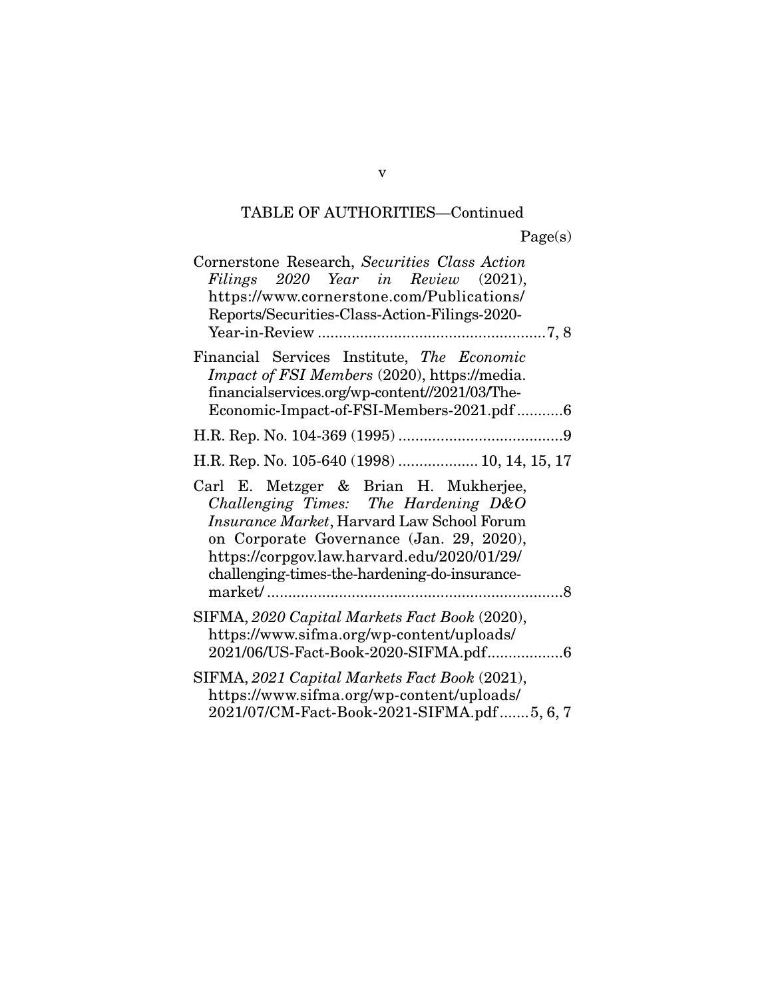## TABLE OF AUTHORITIES—Continued

| Cornerstone Research, Securities Class Action<br>Filings 2020 Year in Review (2021),<br>https://www.cornerstone.com/Publications/<br>Reports/Securities-Class-Action-Filings-2020-                                                                                      |
|-------------------------------------------------------------------------------------------------------------------------------------------------------------------------------------------------------------------------------------------------------------------------|
| Financial Services Institute, The Economic<br><i>Impact of FSI Members</i> (2020), https://media.<br>financialservices.org/wp-content//2021/03/The-<br>Economic-Impact-of-FSI-Members-2021.pdf6                                                                         |
|                                                                                                                                                                                                                                                                         |
| H.R. Rep. No. 105-640 (1998)  10, 14, 15, 17                                                                                                                                                                                                                            |
| Carl E. Metzger & Brian H. Mukherjee,<br>Challenging Times: The Hardening D&O<br>Insurance Market, Harvard Law School Forum<br>on Corporate Governance (Jan. 29, 2020),<br>https://corpgov.law.harvard.edu/2020/01/29/<br>challenging-times-the-hardening-do-insurance- |
| SIFMA, 2020 Capital Markets Fact Book (2020),<br>https://www.sifma.org/wp-content/uploads/<br>2021/06/US-Fact-Book-2020-SIFMA.pdf6                                                                                                                                      |
| SIFMA, 2021 Capital Markets Fact Book (2021),<br>https://www.sifma.org/wp-content/uploads/<br>$2021/07/CM$ -Fact-Book-2021-SIFMA pdf 5.6.7                                                                                                                              |

 $\mathbf{P}^{\text{20}}$ 

v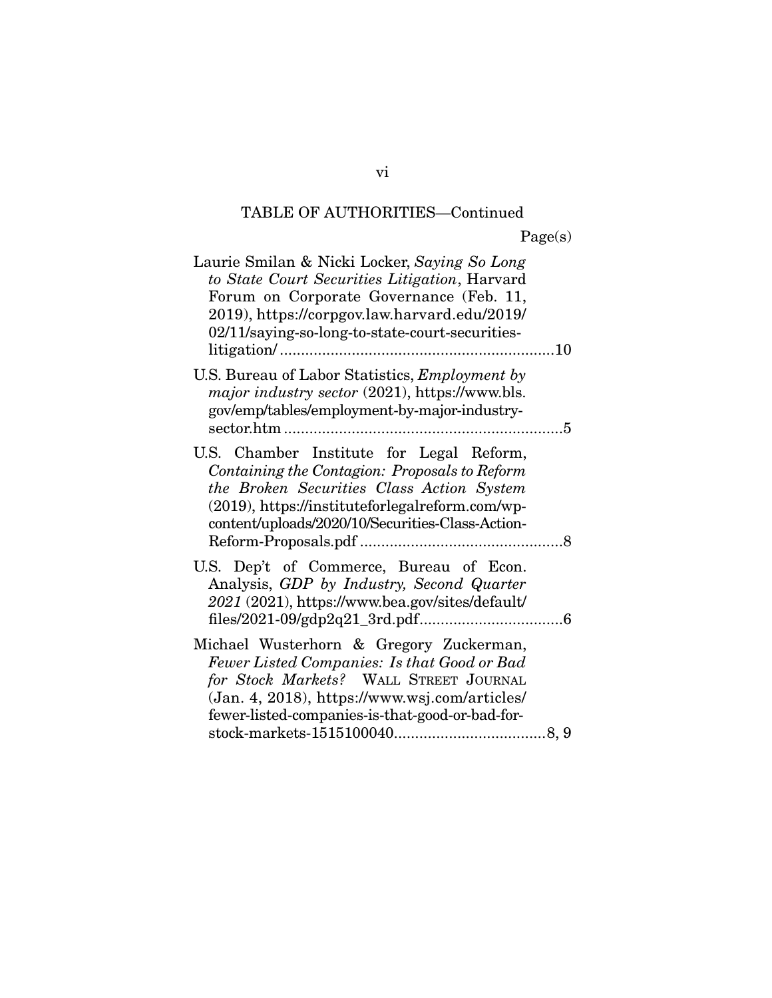## TABLE OF AUTHORITIES—Continued

| aget<br>s |
|-----------|
|-----------|

| Laurie Smilan & Nicki Locker, Saying So Long<br>to State Court Securities Litigation, Harvard<br>Forum on Corporate Governance (Feb. 11,<br>2019), https://corpgov.law.harvard.edu/2019/<br>02/11/saying-so-long-to-state-court-securities-   |  |
|-----------------------------------------------------------------------------------------------------------------------------------------------------------------------------------------------------------------------------------------------|--|
| U.S. Bureau of Labor Statistics, Employment by<br>major industry sector (2021), https://www.bls.<br>gov/emp/tables/employment-by-major-industry-                                                                                              |  |
| U.S. Chamber Institute for Legal Reform,<br>Containing the Contagion: Proposals to Reform<br>the Broken Securities Class Action System<br>(2019), https://instituteforlegalreform.com/wp-<br>content/uploads/2020/10/Securities-Class-Action- |  |
| U.S. Dep't of Commerce, Bureau of Econ.<br>Analysis, GDP by Industry, Second Quarter<br>2021 (2021), https://www.bea.gov/sites/default/                                                                                                       |  |
| Michael Wusterhorn & Gregory Zuckerman,<br>Fewer Listed Companies: Is that Good or Bad<br>for Stock Markets? WALL STREET JOURNAL<br>(Jan. 4, 2018), https://www.wsj.com/articles/<br>fewer-listed-companies-is-that-good-or-bad-for-          |  |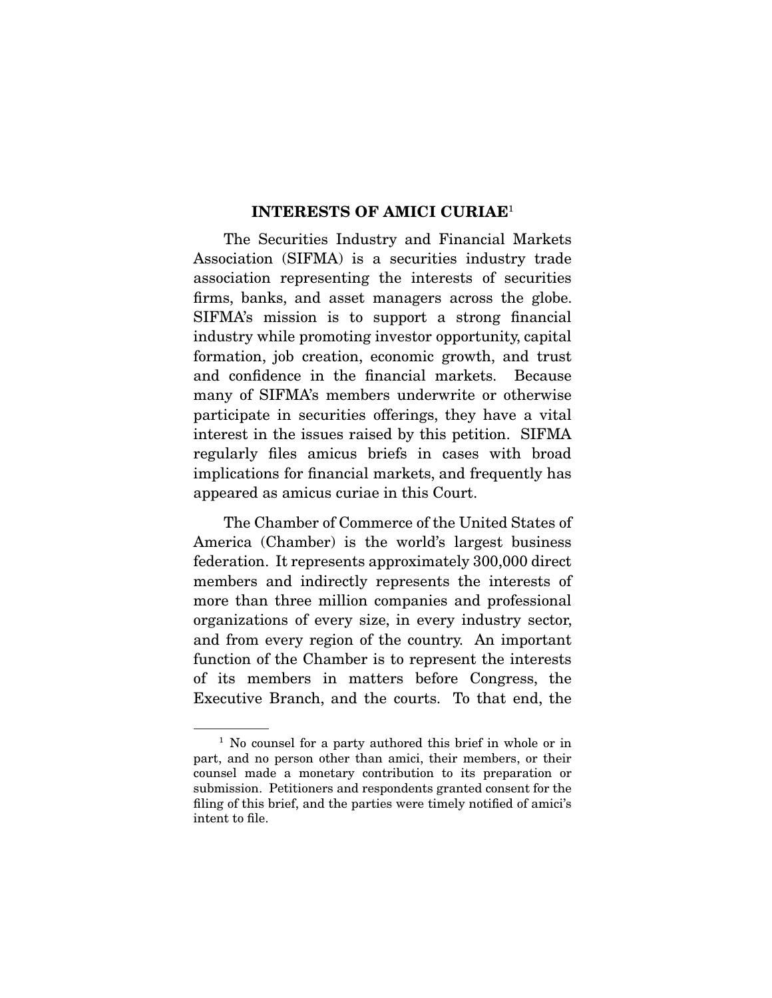#### **INTERESTS OF AMICI CURIAE**1

The Securities Industry and Financial Markets<br>Association (SIFMA) is a securities industry trade association representing the interests of securities firms, banks, and asset managers across the globe. SIFMA's mission is to support a strong financial industry while promoting investor opportunity, capital formation, job creation, economic growth, and trust and confidence in the financial markets. Because many of SIFMA's members underwrite or otherwise participate in securities offerings, they have a vital interest in the issues raised by this petition. SIFMA regularly files amicus briefs in cases with broad. implications for financial markets, and frequently has appeared as amicus curiae in this Court. appeared as amicus curiae in this Court.

The Chamber of Commerce of the United States of America (Chamber) is the world's largest business federation. It represents approximately 300,000 direct members and indirectly represents the interests of more than three million companies and professional organizations of every size, in every industry sector, and from every region of the country. An important function of the Chamber is to represent the interests of its members in matters before Congress, the Executive Branch, and the courts. To that end, the  $E_{\text{eff}}$   $E_{\text{eff}}$  and the courts. To the courts. The coupling  $E_{\text{eff}}$ 

 $1$  No counsel for a party authored this brief in whole or in part, and no person other than amici, their members, or their counsel made a monetary contribution to its preparation or submission. Petitioners and respondents granted consent for the submission. Petitioners and respondents granted consent for the<br>filing of this brief, and the parties were timely notified of amici's filing of this brief, and the parties were timely notified of amici's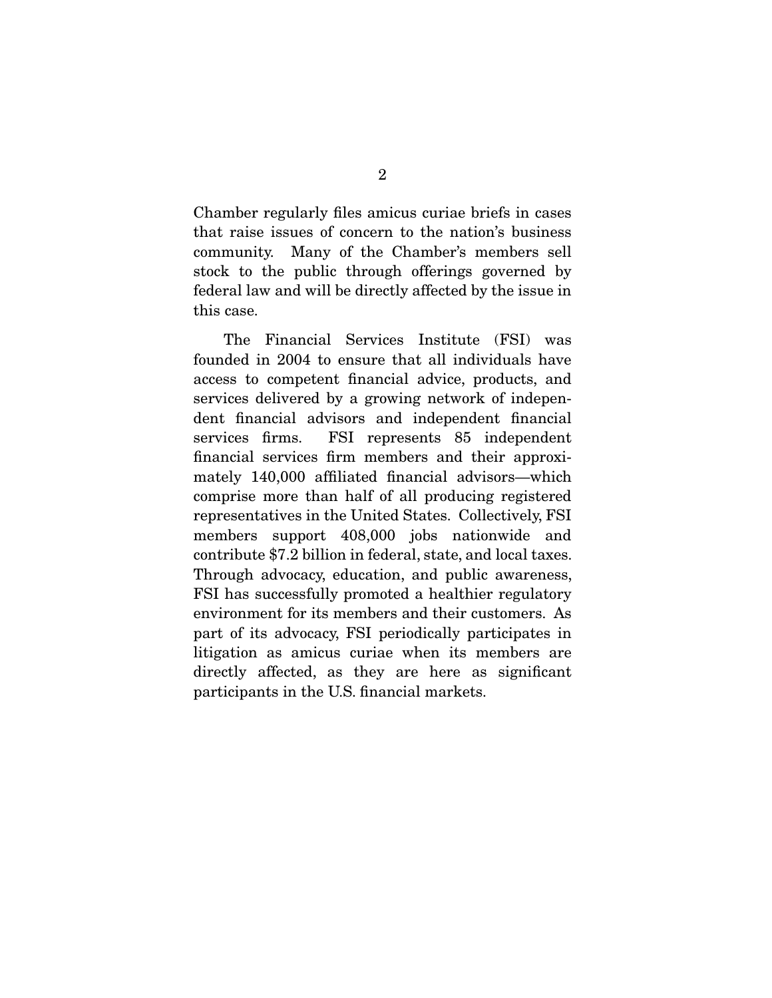Chamber regularly files amicus curiae briefs in cases community. Many of the Chamber's members sell stock to the public through offerings governed by  $s_{\rm{total}}$  to the public through  $s_{\rm{total}}$  of  $s_{\rm{total}}$  and  $s_{\rm{total}}$  by  $s_{\rm{total}}$  and  $s_{\rm{total}}$  by  $s_{\rm{total}}$  and  $s_{\rm{total}}$  by  $s_{\rm{total}}$  and  $s_{\rm{total}}$  by  $s_{\rm{total}}$  and  $s_{\rm{total}}$  by  $s_{\rm{total}}$  and  $s_{\rm{total}}$  by  $s_{\rm{total}}$  and federal law and will be directly affected by the internal  $\mathbf{y}$ the case of

The Financial Services Institute (FSI) was founded in 2004 to ensure that all individuals have access to competent financial advice, products, and services delivered by a growing network of independent financial advisors and independent financial services firms. FSI represents 85 independent financial services firm members and their approximately 140,000 affiliated financial advisors—which comprise more than half of all producing registered representatives in the United States. Collectively, FSI members support 408,000 jobs nationwide and contribute \$7.2 billion in federal, state, and local taxes. Through advocacy, education, and public awareness, FSI has successfully promoted a healthier regulatory environment for its members and their customers. As part of its advocacy, FSI periodically participates in litigation as amicus curiae when its members are directly affected, as they are here as significant  $\frac{d}{dx}$  and  $\frac{d}{dx}$  are here  $\frac{d}{dx}$  and  $\frac{d}{dx}$  are here as significant as  $\frac{d}{dx}$ participants in the U.S. financial markets.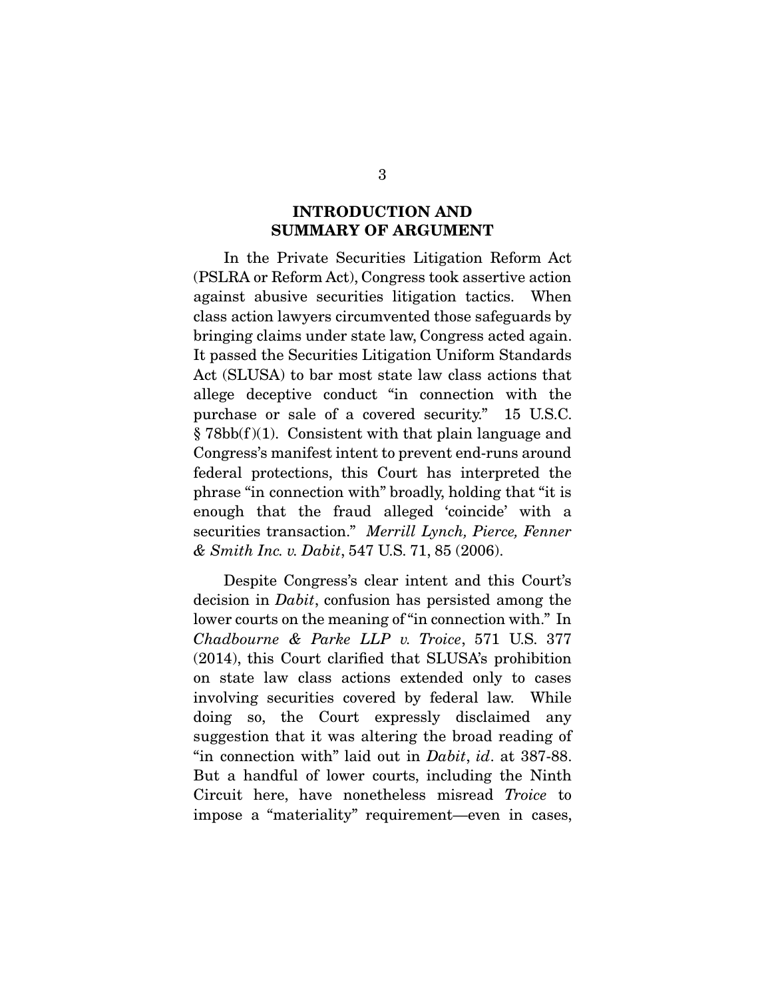### **INTRODUCTION AND SUMMARY OF ARGUMENT**

In the Private Securities Litigation Reform Act (PSLRA or Reform Act), Congress took assertive action against abusive securities litigation tactics. When class action lawyers circumvented those safeguards by bringing claims under state law, Congress acted again. It passed the Securities Litigation Uniform Standards Act (SLUSA) to bar most state law class actions that allege deceptive conduct "in connection with the purchase or sale of a covered security."  $15$  U.S.C.  $\S 78bb(f)(1)$ . Consistent with that plain language and Congress's manifest intent to prevent end-runs around federal protections, this Court has interpreted the phrase "in connection with" broadly, holding that "it is enough that the fraud alleged 'coincide' with a enough that the fraud alleged 'collection' with a<br>securities transaction." *Merrill Lynch, Pierce, Fenner*<br>& Smith Inc. v. Dabit, 547 US, 71, 85 (2006) *& Smith Inc. v. Dabit*, 547 U.S. 71, 85 (2006).

decision in *Dabit*, confusion has persisted among the<br>lower courts on the meaning of "in connection with ". In *Chadbourne & Parke LLP v. Troice*, 571 U.S. 377<br>(2014) this Court clarified that SUISA's probibition (2014), this Court clarified that SLUSA's prohibition involving securities covered by federal law. While doing so, the Court expressly disclaimed any suggestion that it was altering the broad reading of suggestion that it was altering the broad reading of "in connection with" laid out in *Dabit*, *id*. at 387-88. Circuit here, have nonetheless misread *Troice* to impose a "materiality" requirement, even in eases impose a "materiality" requirement—even in cases,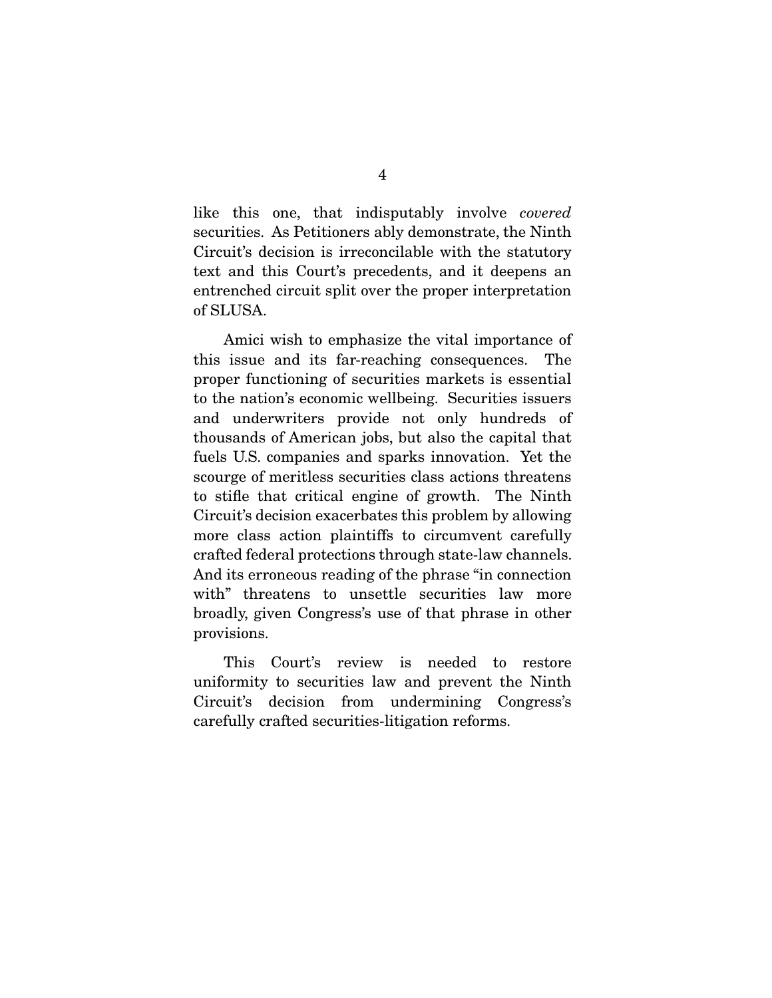like this one, that indisputably involve *covered* Circuit's decision is irreconcilable with the statutory text and this Court's precedents, and it deepens an  $\frac{1}{\sqrt{2}}$  and  $\frac{1}{\sqrt{2}}$  and  $\frac{1}{\sqrt{2}}$  and  $\frac{1}{\sqrt{2}}$  and  $\frac{1}{\sqrt{2}}$  and  $\frac{1}{\sqrt{2}}$  and  $\frac{1}{\sqrt{2}}$  and  $\frac{1}{\sqrt{2}}$  and  $\frac{1}{\sqrt{2}}$  and  $\frac{1}{\sqrt{2}}$  and  $\frac{1}{\sqrt{2}}$  and  $\frac{1}{\sqrt{2}}$  and  $\frac{1}{\sqrt{2}}$  and entremant split split split over the proper interpretation of  $\mathbb{C}$  in the proper interpretation of  $\mathbb{C}$  in the proper interpretation of  $\mathbb{C}$  in the proper interpretation of  $\mathbb{C}$  in the proper interpretatio  $\overline{\phantom{a}}$ 

Amici wish to emphasize the vital importance of this issue and its far-reaching consequences. The proper functioning of securities markets is essential. to the nation's economic wellbeing. Securities issuers and underwriters provide not only hundreds of thousands of American jobs, but also the capital that fuels U.S. companies and sparks innovation. Yet the scourge of meritless securities class actions threatens. to stifle that critical engine of growth. The Ninth Circuit's decision exacerbates this problem by allowing. more class action plaintiffs to circumvent carefully crafted federal protections through state-law channels. And its erroneous reading of the phrase "in connection" with" threatens to unsettle securities law more broadly, given Congress's use of that phrase in other  $\frac{1}{\sqrt{2}}$  becomes of the contract phrase in  $\frac{1}{\sqrt{2}}$ provisions.

This Court's review is needed to restore<br>uniformity to securities law and prevent the Ninth Circuit's decision from undermining Congress's carefully crafted securities-litigation reforms. carefully crafted securities-little securities-little securities-little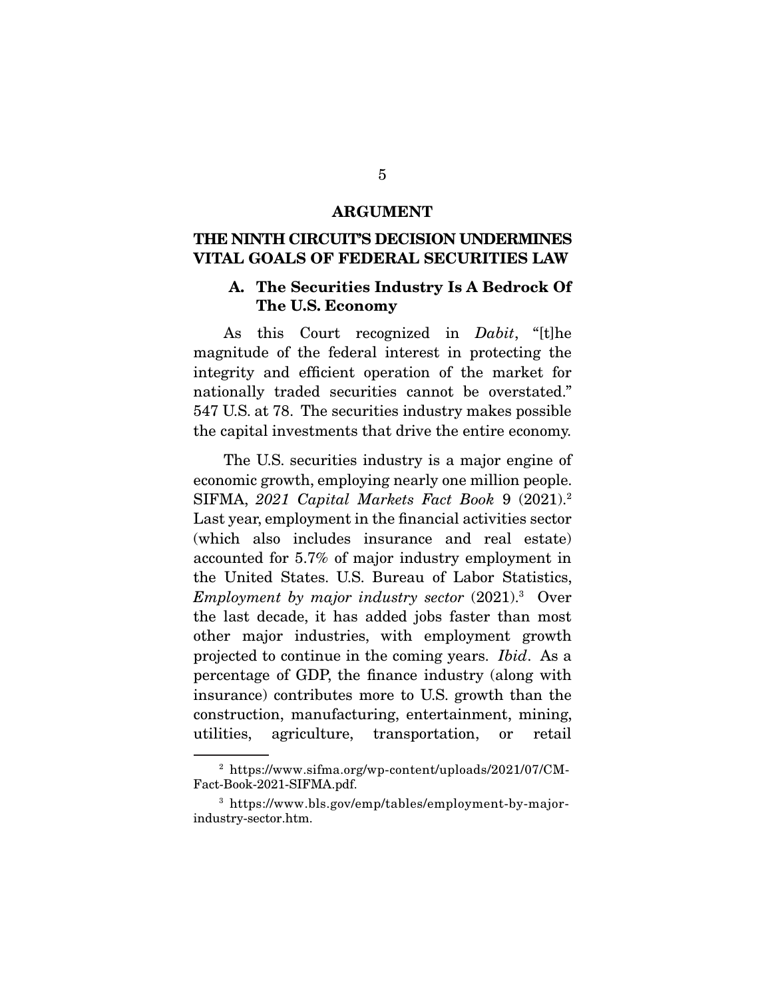#### **ARGUMENT**

## **THE NINTH CIRCUIT'S DECISION UNDERMINES VITAL GOALS OF FEDERAL SECURITIES LAW**

#### **A. The Securities Industry Is A Bedrock Of The U.S. Economy**

As this Court recognized in *Dabit*, "[t]he magnitude of the federal interest in protecting the integrity and efficient operation of the market for nationally traded securities cannot be overstated." 547 U.S. at 78. The securities industry makes possible. the capital investments that drive the entire economy. the capital investments that drive the entire economy.

The U.S. securities industry is a major engine of economic growth, employing nearly one million people. economic growth, employing nearly one million people. SIFMA, *2021 Capital Markets Fact Book* 9 (2021).<sup>2</sup> Last year, employment in the financial activities sector  $(\text{which also includes insurance and real estate})$ accounted for  $5.7\%$  of major industry employment in the United States. U.S. Bureau of Labor Statistics, *Employment by major industry sector* (2021).<sup>3</sup> Over<br>the last decade, it has added jobs faster than most the last decade, it has added jobs faster than most other major industries, with employment growth projected to continue in the coming years. *Ibid*. As a percentage of GDP, the finance industry (along with insurance) contributes more to U.S. growth than the construction, manufacturing, entertainment, mining, utilities, agriculture, transportation, or retail  $\mathbf{u}_0$  and  $\mathbf{u}_1$  transportation, or retail  $\mathbf{u}_1$ 

 $^2$ https://www.sifma.org/wp-content/uploads/2021/07/CM-Fact-Book-2021-SIFMA.pdf.  $\frac{1}{2}$  and  $\frac{1}{2}$  and  $\frac{1}{2}$  and  $\frac{1}{2}$  and  $\frac{1}{2}$  and  $\frac{1}{2}$  and  $\frac{1}{2}$  and  $\frac{1}{2}$  and  $\frac{1}{2}$  and  $\frac{1}{2}$  and  $\frac{1}{2}$  and  $\frac{1}{2}$  and  $\frac{1}{2}$  and  $\frac{1}{2}$  and  $\frac{1}{2}$  and  $\frac{1}{2}$  a

<sup>3</sup> https://www.bls.gov/emp/tables/employment-by-major- $\cdots$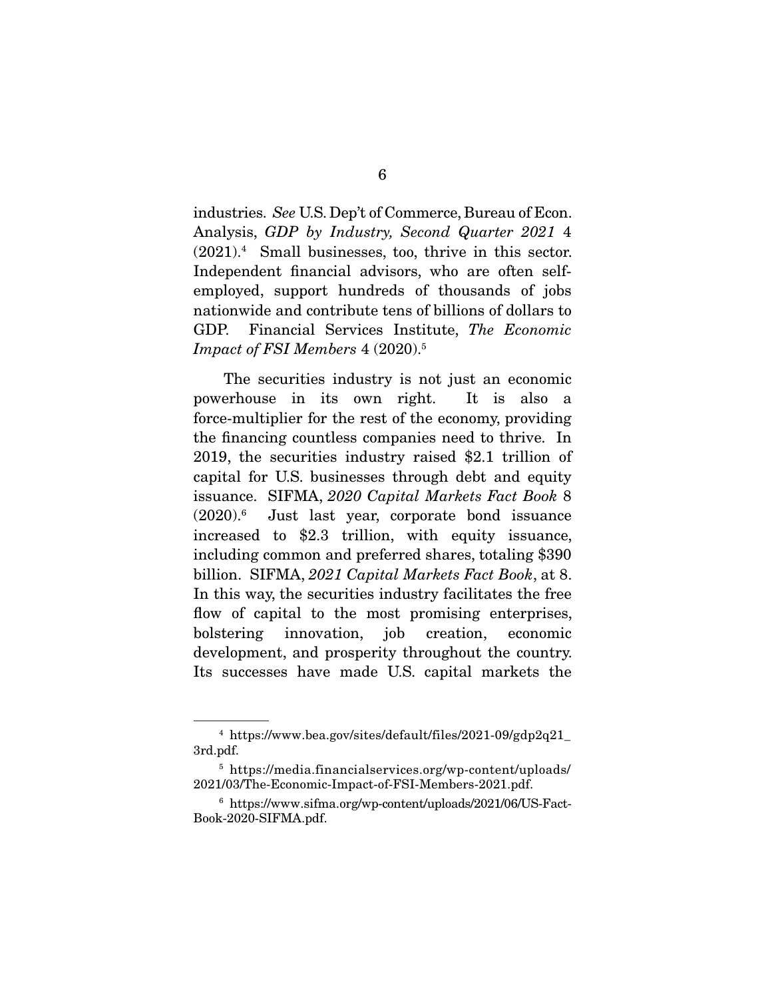industries. *See* U.S. Dep't of Commerce, Bureau of Econ. Analysis, *GDP by Industry, Second Quarter 2021* 4  $(2021)$ . Small businesses, too, thrive in this sector. employed, support hundreds of thousands of jobs nationwide and contribute tens of billions of dollars to Financial Services Institute, *The Economic*<br>Impact of ESI Members 4 (2020)<sup>5</sup> *Impact of FSI Members* 4 (2020).5

The securities industry is not just an economic<br>powerhouse in its own right. It is also a force-multiplier for the rest of the economy, providing the financing countless companies need to thrive. In 2019, the securities industry raised  $$2.1$  trillion of capital for U.S. businesses through debt and equity experiments once the understanding the debt and equity issuance. SIFMA, *2020 Capital Markets Fact Book* 8  $(2020)$ . Just last year, corporate bond issuance<br>increased to  $24.4$  trillian with equity issuance including common and preferred shares, totaling \$390 billion. SIFMA, *2021 Capital Markets Fact Book*, at 8. In this way, the securities industry facilitates the free flow of capital to the most promising enterprises, bolstering innovation, job creation, economic development, and prosperity throughout the country. Its successes have made U.S. capital markets the Its successes have made U.S. capital markets the

 $^4$ https://www.bea.gov/sites/default/files/2021-09/gdp2q21\_3rd.pdf.

<sup>&</sup>lt;sup>5</sup> https://media.financialservices.org/wp-content/uploads/ 2021/03/The-Economic-Impact-of-FSI-Members-2021.pdf.

<sup>2022.002.2022.2022.2022.</sup>pdf. 2021.02.2021.pdf.<br>6.1.1. Members-2021.pdf.html 1.1.0001.000100 mttps://www.sifma.org/wp-content/uploads/2021/06/US-Fact-<br>c-2020-SIFMA pdf  $\mathcal{L}$  books  $\mathcal{L}$  and  $\mathcal{L}$  are  $\mathcal{L}$  . The simple  $\mathcal{L}$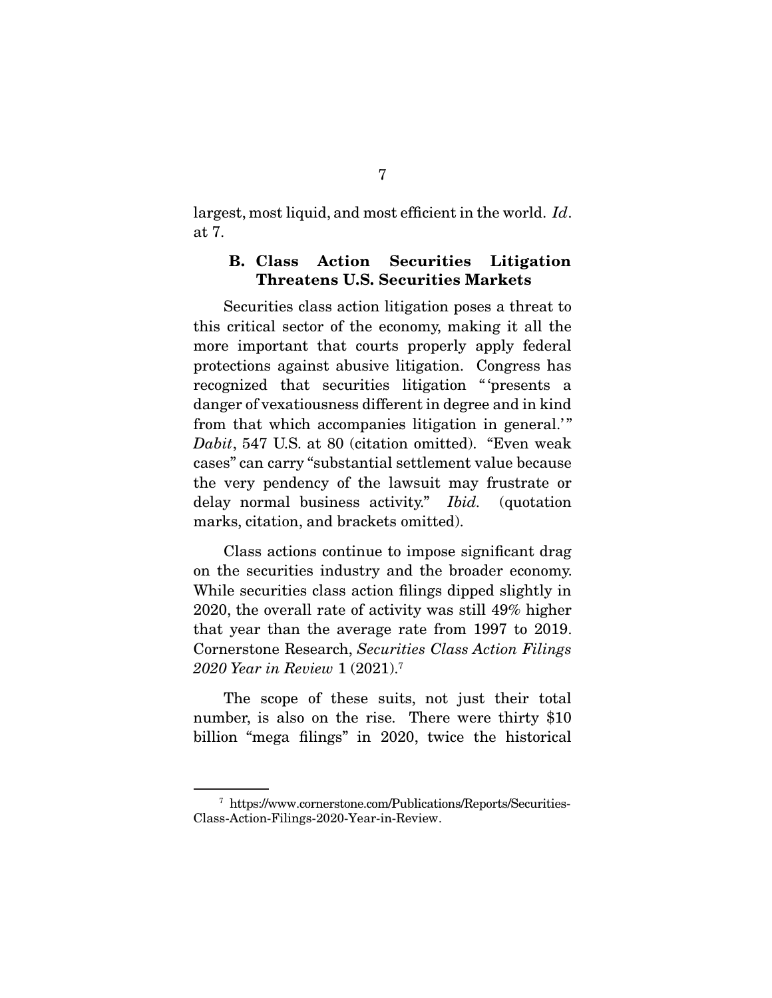largest, most liquid, and most efficient in the world. *Id*.

### **B. Class Action Securities Litigation Threatens U.S. Securities Markets**

Securities class action litigation poses a threat to this critical sector of the economy, making it all the more important that courts properly apply federal protections against abusive litigation. Congress has recognized that securities litigation "presents a danger of vexatiousness different in degree and in kind from that which accompanies litigation in general." *Dabit*, 547 U.S. at 80 (citation omitted). "Even weak cases" can carry "substantial settlement value because delay normal business activity." *Ibid.* (quotation marks, citation, and brackets omitted).

Class actions continue to impose significant drag on the securities industry and the broader economy. While securities class action filings dipped slightly in 2020, the overall rate of activity was still  $49\%$  higher that year than the average rate from  $1997$  to  $2019$ . Cornerstone Research, *Securities Class Action Filings* 3020 Vegr in *Paview* 1 (2021)<sup>7</sup> *2020 Year in Review* 1 (2021).<sup>7</sup>

The scope of these suits, not just their total number, is also on the rise. There were thirty \$10  $\frac{1}{2}$  is also on the rise. There were  $\frac{1}{2}$   $\frac{1}{2}$  $\mathbf{e}_{\mathbf{e}}$  filings  $\mathbf{e}_{\mathbf{e}}$  filings the historical term of  $\mathbf{e}_{\mathbf{e}}$ 

<sup>&</sup>lt;sup>7</sup> https://www.cornerstone.com/Publications/Reports/Securities-Class-Action-Filings-2020-Year-in-Review. Class-Action-Filings-2020-Year-in-Review.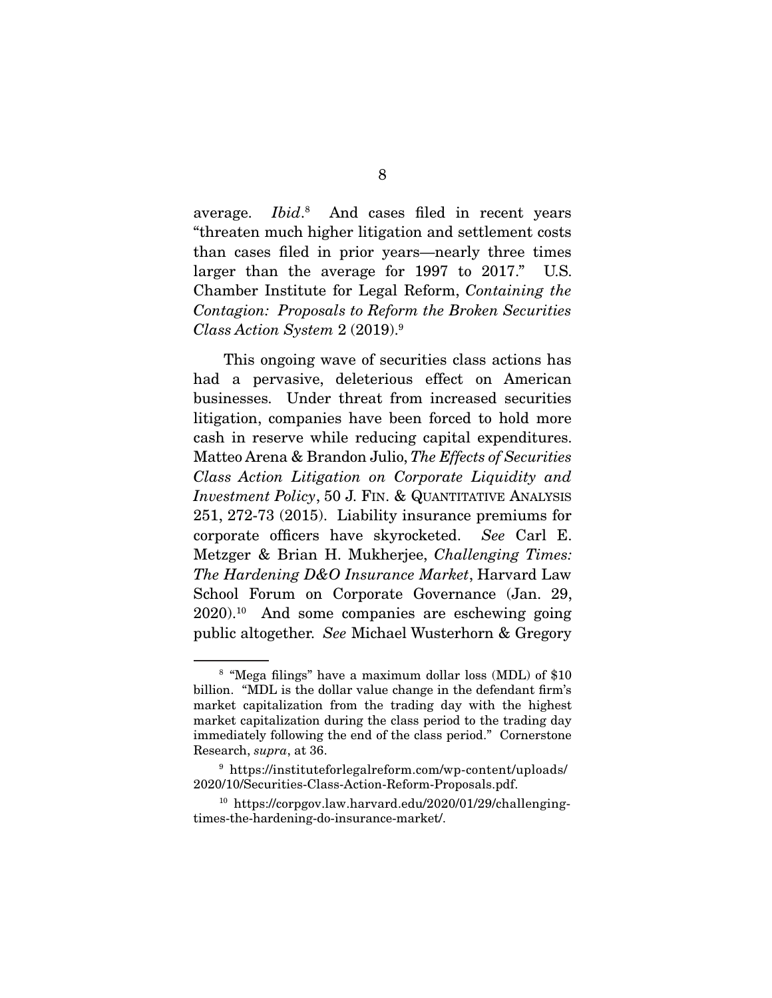average. *Ibid*.<sup>8</sup> And cases filed in recent years<br>"threaten.much.higher.litigation.and.sottlement.costs  $Ibid.^8$ than cases filed in prior years—nearly three times larger than the average for  $1997$  to  $2017$ ." U.S. **Chamber Institute for Legal Reform,** *Containing the* Containing *Containing the Contagion: Proposals to Reform the Broken Securities Class Action System* 2 (2019).9

This ongoing wave of securities class actions has<br>had a pervasive, deleterious effect on American businesses. Under threat from increased securities litigation, companies have been forced to hold more cash in reserve while reducing capital expenditures. matteo Arena & Brandon Julio, *The Effects of Securities*<br>Class Action Litigation on Corporate Liquidity and *Class Action Litigation on Corporate Liquidity and Investment Policy*, 50 J. FIN. & QUANTITATIVE ANALYSIS 251, 272-73 (2015). Liability insurance premiums for corporate officers have skyrocketed. *See* Carl E. Metzger & Brian H. Mukherjee, *Challenging Times: The Hardening D&O Insurance Market*, Harvard Law  $2020$ ,  $10$  And some companies are eschewing going 2020). And some companies are eschewing going<br>2020). And some companies are eschewing going public altogether. *See* Michael Wusterhorn & Gregory

 $8$  "Mega filings" have a maximum dollar loss (MDL) of \$10 billion. "MDL is the dollar value change in the defendant firm's market capitalization from the trading day with the highest market capitalization during the class period to the trading day immediately following the end of the class period." Cornerstone immediately following the end of the class period." Cornerstone Research, *supra*, at 36.

 $^9$ https://instituteforlegalreform.com/wp-content/uploads/ $2020/10/\mathrm{Securities\text{-}Class\text{-}Action\text{-}Reform\text{-}Proposals.pdf.}$ 

<sup>2020/10/</sup>Securities-Class-Action-Reform-Proposals.pdf. <sup>10</sup> https://corpgov.law.harvard.edu/2020/01/29/challenging $t_{\text{max}}$  the domination  $\theta$  as the double-market.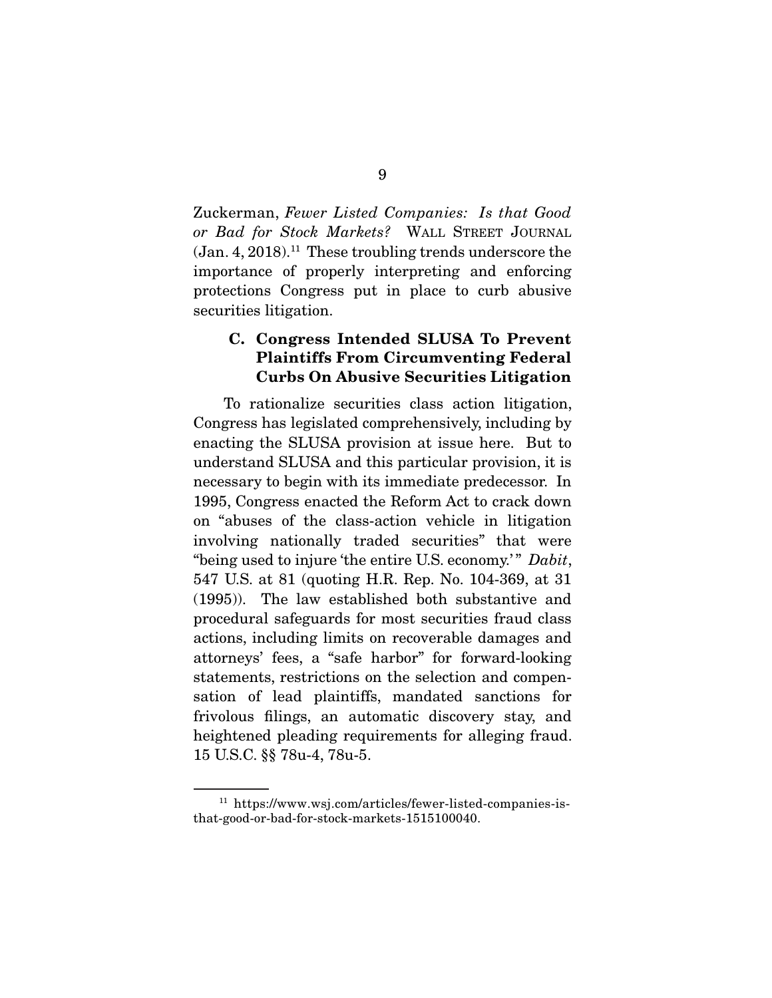Zuckerman, *Fewer Listed Companies: Is that Good or Bad for Stock Markets?* WALL STREET JOURNAL importance of properly interpreting and enforcing protections Congress put in place to curb abusive  $\frac{1}{2}$  protections consider  $\frac{1}{2}$  abusive to consider the current abusive abusive abusive  $\frac{1}{2}$  abusive  $\frac{1}{2}$  abusive  $\frac{1}{2}$  abusive  $\frac{1}{2}$  abusive  $\frac{1}{2}$  abusive  $\frac{1}{2}$  abusive  $\frac{1}{2}$  abusiv securities litigation.

### **C. Congress Intended SLUSA To Prevent Plaintiffs From Circumventing Federal Curbs On Abusive Securities Litigation**

To rationalize securities class action litigation,<br>Congress has legislated comprehensively, including by enacting the SLUSA provision at issue here. But to understand SLUSA and this particular provision, it is necessary to begin with its immediate predecessor. In 1995, Congress enacted the Reform Act to crack down on "abuses of the class-action vehicle in litigation involving nationally traded securities" that were "being used to injure 'the entire U.S. economy.'" *Dabit*,<br>547 U.S. et 81 (quoting H.B. Bop. No. 104 369, et 31) 547 U.S. at 81 (quoting H.R. Rep. No. 104-369, at 31 procedural safeguards for most securities fraud class actions, including limits on recoverable damages and attorneys' fees, a "safe harbor" for forward-looking statements, restrictions on the selection and compensation of lead plaintiffs, mandated sanctions for frivolous filings, an automatic discovery stay, and heightened pleading requirements for alleging fraud. 15 U.S.C. §§ 78u-4, 78u-5.  $15.21 \times 10^{15}$ 

 $^{11}$ https://www.wsj.com/articles/fewer-listed-companies-is-<br>that-good-or-bad-for-stock-markets-1515100040. that-good-or-bad-for-stock-markets-1515100040.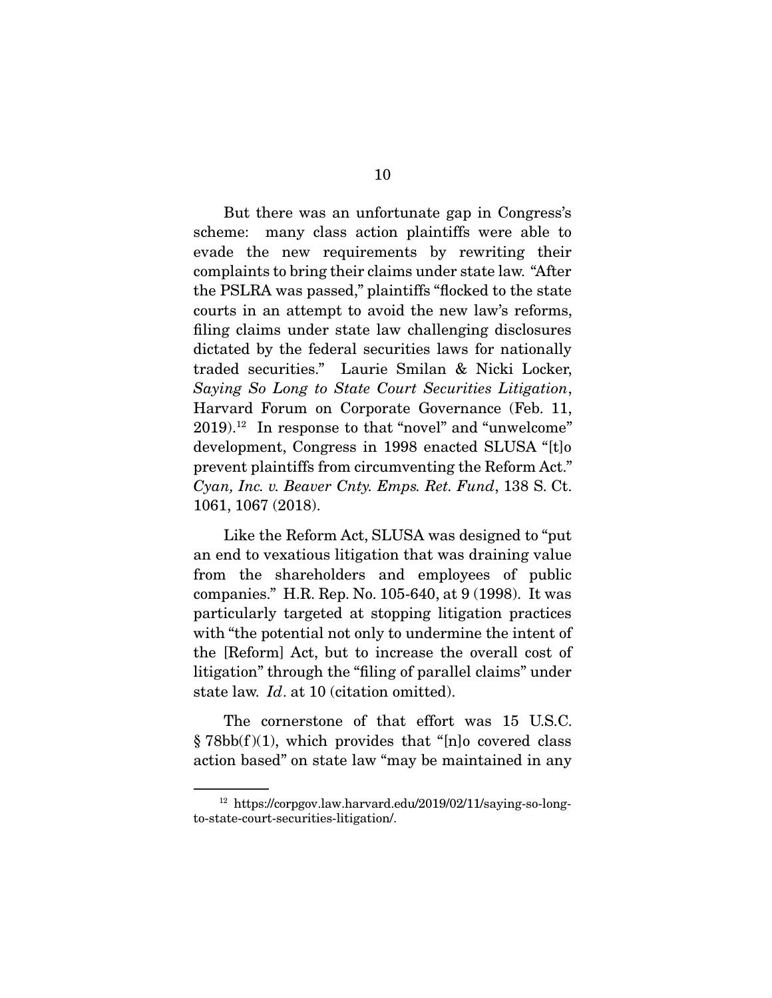But there was an unfortunate gap in Congress's scheme: many class action plaintiffs were able to evade the new requirements by rewriting their complaints to bring their claims under state law. "After the PSLRA was passed," plaintiffs "flocked to the state courts in an attempt to avoid the new law's reforms, filing claims under state law challenging disclosures dictated by the federal securities laws for nationally traded securities." Laurie Smilan & Nicki Locker, traded securities." Laurie Smilan & Nicki Locker, *Saying So Long to State Court Securities Litigation*, Harvard Forum on Corporate Governance (Feb. 11, 2019).<sup>12</sup> In response to that "novel" and "unwelcome" development, Congress in 1998 enacted SLUSA "[t]o prevent plaintiffs from circumventing the Reform Act." *Cyan, Inc. v. Beaver Cnty. Emps. Ret. Fund*, 138 S. Ct.<br>1061, 1067 (2018) 106<sub>1</sub>, 1067 (2018).

Like the Reform Act, SLUSA was designed to "put<br>an end to vexatious litigation that was draining value from the shareholders and employees of public companies." H.R. Rep. No. 105-640, at  $9(1998)$ . It was particularly targeted at stopping litigation practices. with "the potential not only to undermine the intent of the [Reform] Act, but to increase the overall cost of litigation" through the "filing of parallel claims" under state law. *Id.* at 10 (citation omitted).

The cornerstone of that effort was 15 U.S.C.  $\S 78bb(1)(1)$ , which provides that "[n] o covered class  $\frac{1}{2}$   $\frac{1}{2}$   $\frac{1}{2}$   $\frac{1}{2}$   $\frac{1}{2}$   $\frac{1}{2}$   $\frac{1}{2}$   $\frac{1}{2}$   $\frac{1}{2}$   $\frac{1}{2}$   $\frac{1}{2}$   $\frac{1}{2}$   $\frac{1}{2}$   $\frac{1}{2}$   $\frac{1}{2}$   $\frac{1}{2}$   $\frac{1}{2}$   $\frac{1}{2}$   $\frac{1}{2}$   $\frac{1}{2}$   $\frac{1}{2}$   $\frac{1}{2}$   $\overline{\phantom{a}}$ 

 $^{12}$ https://corpgov.law.harvard.edu/2019/02/11/saying-so-long-to-state-court-securities-litigation/. to-state-court-securities-litigation/.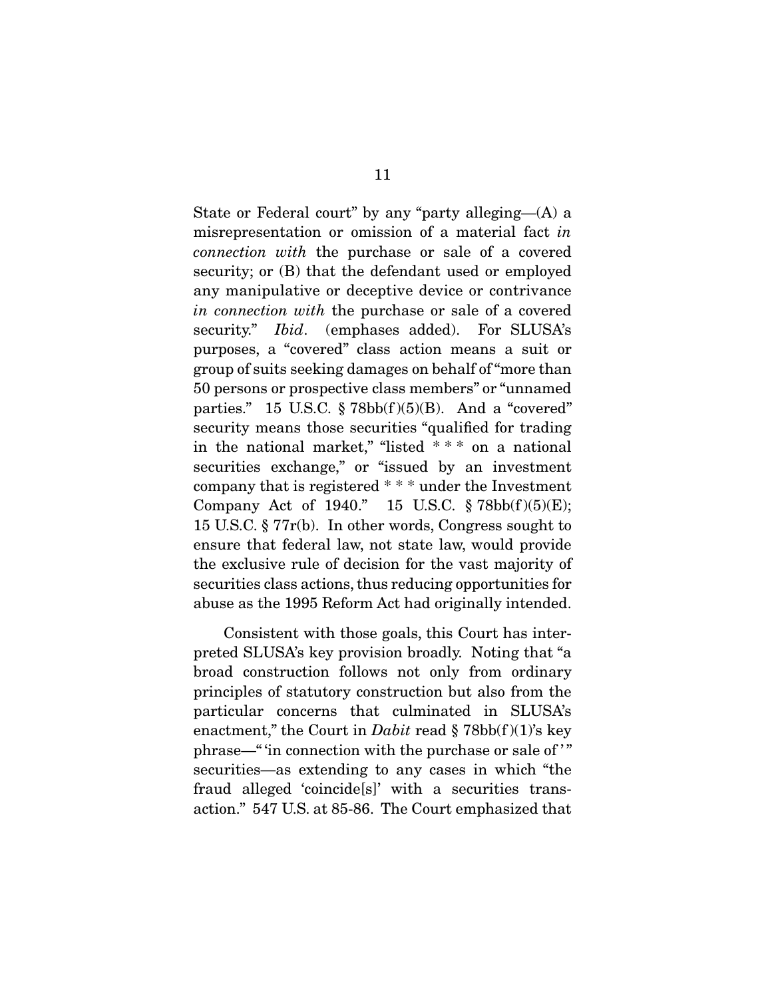misrepresentation or omission of a material fact *in* connection with the purchase or sale of a covered *connection with* the purchase or sale of a covered security; or (B) that the defendant used or employed any manipulative or deceptive device or contrivance *in connection with* the purchase or sale of a covered<br>socurity" *Ibid* (omphases added) For SUISA's security." *Ibid.* (emphases added). For SLUSA's purposes, a "covered" class action means a suit or group of suits seeking damages on behalf of "more than 50 persons or prospective class members" or "unnamed parties." 15 U.S.C.  $\S 78bb(f)(5)(B)$ . And a "covered" security means those securities "qualified for trading". in the national market," "listed  $***$  on a national securities exchange," or "issued by an investment company that is registered  $***$  under the Investment Company Act of 1940." 15 U.S.C.  $\S 78bb(f)(5)(E);$ 15 U.S.C.  $\S 77r(b)$ . In other words, Congress sought to ensure that federal law, not state law, would provide the exclusive rule of decision for the vast majority of securities class actions, thus reducing opportunities for abuse as the 1995 Reform Act had originally intended. abuse as the 1995 Reform Act  $\sum_{i=1}^{n}$ 

Consistent with those goals, this Court has inter-<br>preted SLUSA's key provision broadly. Noting that "a broad construction follows not only from ordinary principles of statutory construction but also from the particular concerns that culminated in SLUSA's enactment," the Court in *Dabit* read § 78bb(f)(1)'s key phrase—" 'in connection with the purchase or sale of '" securities—as extending to any cases in which "the fraud alleged 'coincide[s]' with a securities trans- $\frac{1}{2}$  fraction  $\frac{1}{2}$  5.47 IIS at 85.86. The Court emphasized that and the court emphasized that  $\mathbf{r}_1$  at  $\mathbf{r}_2$  at 85-86. The Court emphasized that  $\mathbf{r}_1$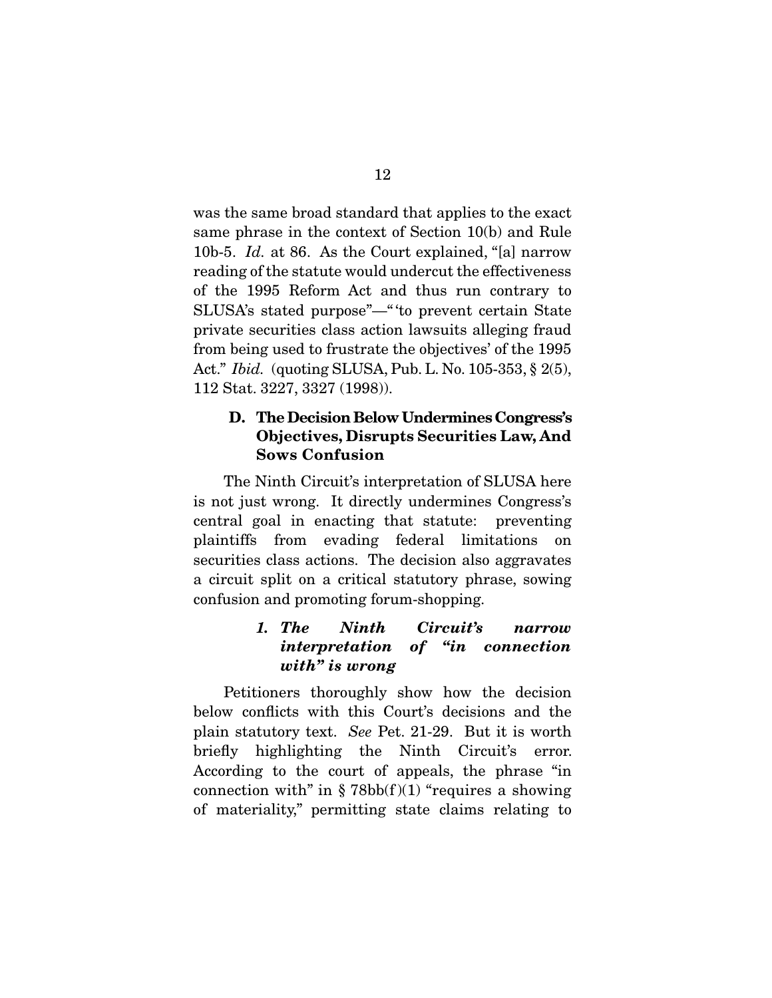was the same broad standard that applies to the exact<br>same phrase in the context of Section 10(b) and Rule 10b-5. *Id.* at 86. As the Court explained, "[a] narrow reading of the statute would undercut the effectiveness<br>of the 1995 Reform Act and thus run contrary to SLUSA's stated purpose"—" to prevent certain State private securities class action lawsuits alleging fraud from being used to frustrate the objectives' of the 1995 Act." *Ibid.* (quoting SLUSA, Pub. L. No. 105-353, § 2(5), 112 Stat. 3227, 3327 (1998).

## **D. The Decision Below Undermines Congress's Objectives, Disrupts Securities Law, And Sows Confusion**

The Ninth Circuit's interpretation of SLUSA here<br>is not just wrong. It directly undermines Congress's central goal in enacting that statute: preventing plaintiffs from evading federal limitations on securities class actions. The decision also aggravates a circuit split on a critical statutory phrase, sowing  $\frac{1}{2}$  confusion and promoting forum shapping confusion and promoting for an shopping.

## *1. The Ninth Circuit's narrow interpretation of "in connection with" is wrong*

Petitioners thoroughly show how the decision<br>below conflicts with this Court's decisions and the plain statutory text. *See* Pet. 21-29. But it is worth<br>briefly bighlighting the Ninth Circuit's error briefly highlighting the Ninth Circuit's error.<br>According to the court of appeals, the phrase "in connection with" in  $\S 78bb(f)(1)$  "requires a showing"  $\epsilon$  metapholity" parmitting state claims relating to of materiality,  $\mathbf{p}$  and  $\mathbf{p}$  state claims relating to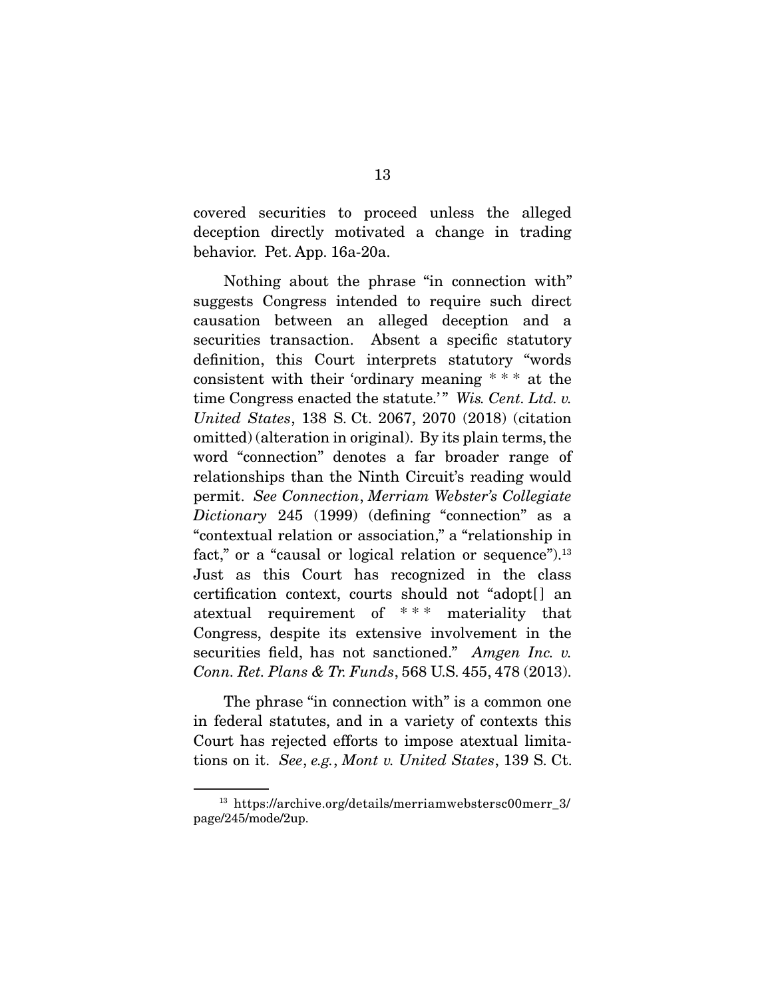covered securities to proceed unless the alleged<br>deception directly motivated a change in trading behavior. Pet. App. 16a-20a. behavior. Pet. App. 16a-20a.

Nothing about the phrase "in connection with"<br>suggests Congress intended to require such direct causation between an alleged deception and a securities transaction. Absent a specific statutory definition, this Court interprets statutory "words" consistent with their 'ordinary meaning  $***$  at the time Congress enacted the statute.'" Wis. Cent. Ltd. v.<br>United States, 138 S. Ct. 2067, 2070 (2018) (eithing *United States*, 138 S. Ct. 2067, 2070 (2018) (citation word "connection" denotes a far broader range of relationships than the Ninth Circuit's reading would permit. *See Connection*, *Merriam Webster's Collegiate* <br>*Distincery* 245 (1999) (dofining "connection" as a *Dictionary* 245 (1999) (defining "connection" as a "contextual relation or association," a "relationship in fact," or a "causal or logical relation or sequence"). $^{13}$ Just as this Court has recognized in the class certification context, courts should not "adopted" an atextual requirement of  $***$  materiality that Congress, despite its extensive involvement in the securities field, has not sanctioned." *Amgen Inc. v.*<br>Conn *Pet Plane & Tr Funde* 568 US 455 478 (2013) *Conn. Ret. Plans & Tr. Funds*, 568 U.S. 455, 478 (2013).

The phrase "in connection with" is a common one<br>in federal statutes, and in a variety of contexts this Court has rejected efforts to impose atextual limitations on it. *See*, *e.g.*, *Mont v. United States*, 139 S. Ct.

<sup>&</sup>lt;sup>13</sup> https://archive.org/details/merriamwebstersc00merr\_3/<br>page/245/mode/2up.  $_{\rm F}$  anger 25, 205, 205, 2up.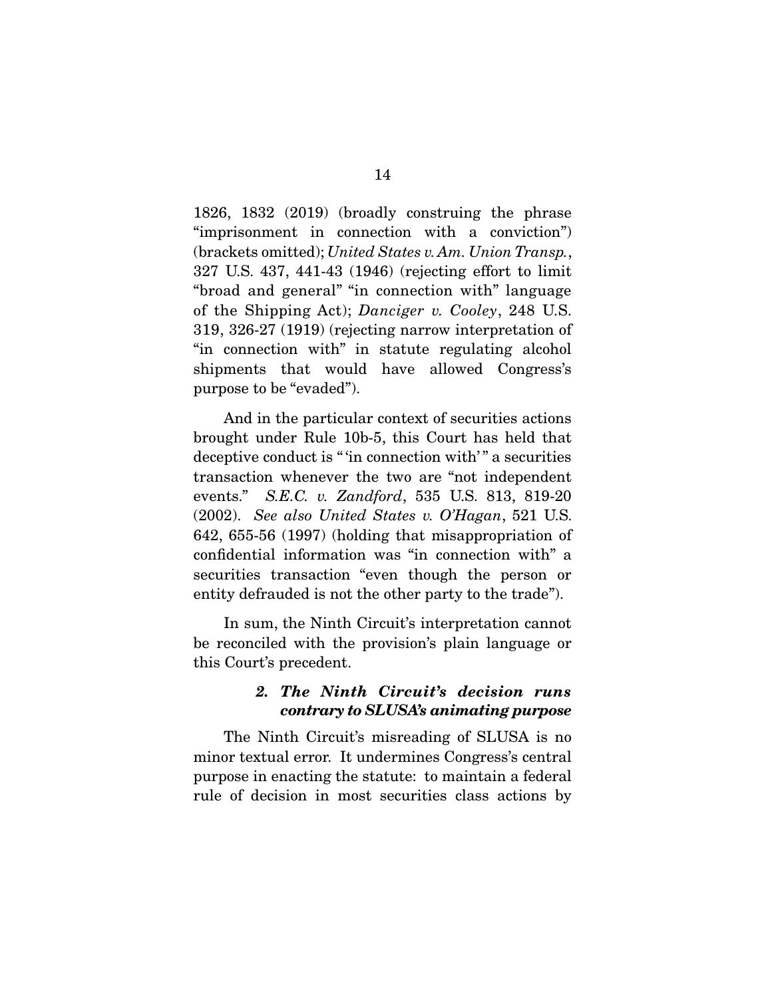1826, 1832 (2019) (broadly construing the phrase "imprisonment in connection with a conviction")  $\frac{1}{227}$  (brackets omitted); *United States v. Am. Union Transp.*,  $\frac{227}{115}$   $\frac{127}{427}$   $\frac{111}{42}$   $\frac{1046}{426}$  (rejecting effect to limit) 327 U.S. 437, 441-43 (1946) (rejecting effort to limit of the Shipping Act); *Danciger v. Cooley*, 248 U.S. 319, 326-27 (1919) (rejecting narrow interpretation of shipments that would have allowed Congress's  $s$  is that we have all  $s$  and  $s$  allowed  $s$  and  $s$  allowed  $s$  $\mathbf{P} \cdot \mathbf{P}$  be the first term of  $\mathbf{P}$ .

And in the particular context of securities actions<br>brought under Rule 10b-5, this Court has held that deceptive conduct is "'in connection with'" a securities transaction whenever the two are "not independent" events." *S.E.C. v. Zandford*, 535 U.S. 813, 819-20<br>(2002) See also United States v. O'Hagan 521 U.S. (2002). *See also United States v. O'Hagan*, 521 U.S. confidential information was "in connection with" a securities transaction "even though the person or  $\frac{1}{2}$  security defined as not the other perty to the trade") entity defrauded is not the other party to the trade").

In sum, the Ninth Circuit's interpretation cannot<br>be reconciled with the provision's plain language or be reconciled with the provision's plain language or this Court's precedent.

### *2. The Ninth Circuit's decision runs contrary to SLUSA's animating purpose*

The Ninth Circuit's misreading of SLUSA is no<br>minor textual error. It undermines Congress's central purpose in enacting the statute: to maintain a federal purpose in enacting the statute: to maintain a federal rule of decision in most securities class actions by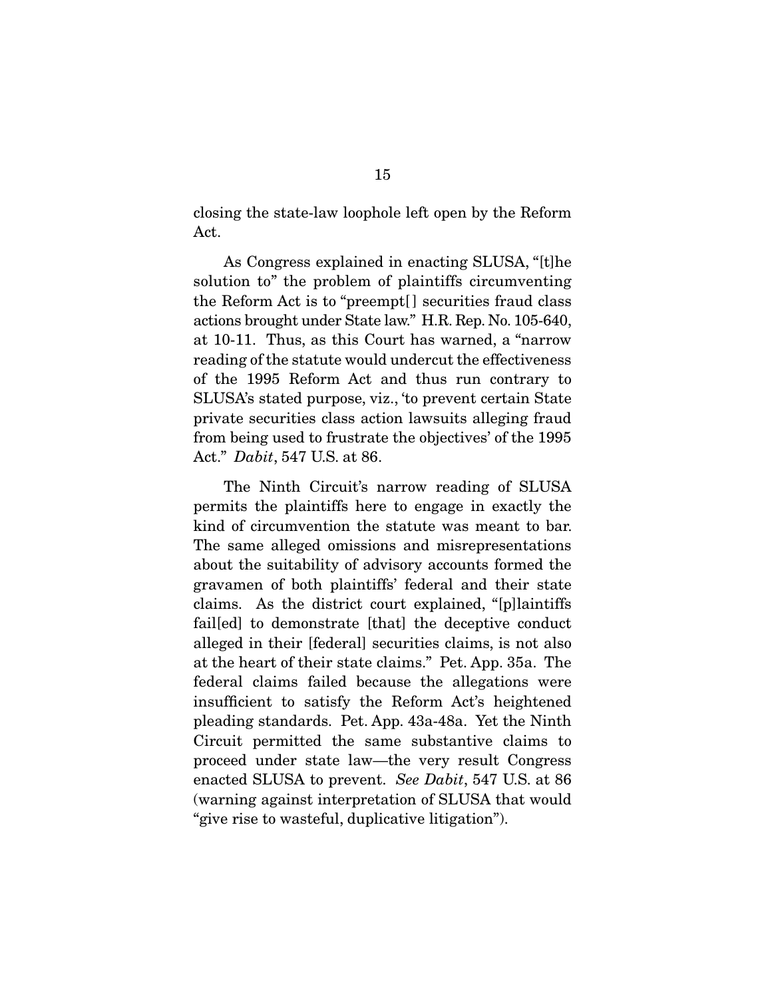closing the state-law loophole left open by the Reform<br>Act.

As Congress explained in enacting SLUSA, "[t]he solution to" the problem of plaintiffs circumventing the Reform Act is to "preempt<sup>[]</sup> securities fraud class actions brought under State law." H.R. Rep. No. 105-640, at 10-11. Thus, as this Court has warned, a "narrow" reading of the statute would undercut the effectiveness of the 1995 Reform Act and thus run contrary to SLUSA's stated purpose, viz., 'to prevent certain State private securities class action lawsuits alleging fraud from being used to frustrate the objectives' of the 1995 from being used to frustrate the objectives' of the 1995 Act." *Dabit*, 547 U.S. at 86.

The Ninth Circuit's narrow reading of SLUSA permits the plaintiffs here to engage in exactly the kind of circumvention the statute was meant to bar. The same alleged omissions and misrepresentations about the suitability of advisory accounts formed the gravamen of both plaintiffs' federal and their state claims. As the district court explained, "[p]laintiffs" failed) to demonstrate [that] the deceptive conduct alleged in their [federal] securities claims, is not also at the heart of their state claims." Pet. App. 35a. The federal claims failed because the allegations were. insufficient to satisfy the Reform Act's heightened pleading standards. Pet. App. 43a-48a. Yet the Ninth Circuit permitted the same substantive claims to proceed under state law—the very result Congress enacted SLUSA to prevent. *See Dabit*, 547 U.S. at 86 (warning against interpretation of SLUSA that would "give rise to wasteful, duplicative litigation"). "give rise to wasteful, duplicative litigation").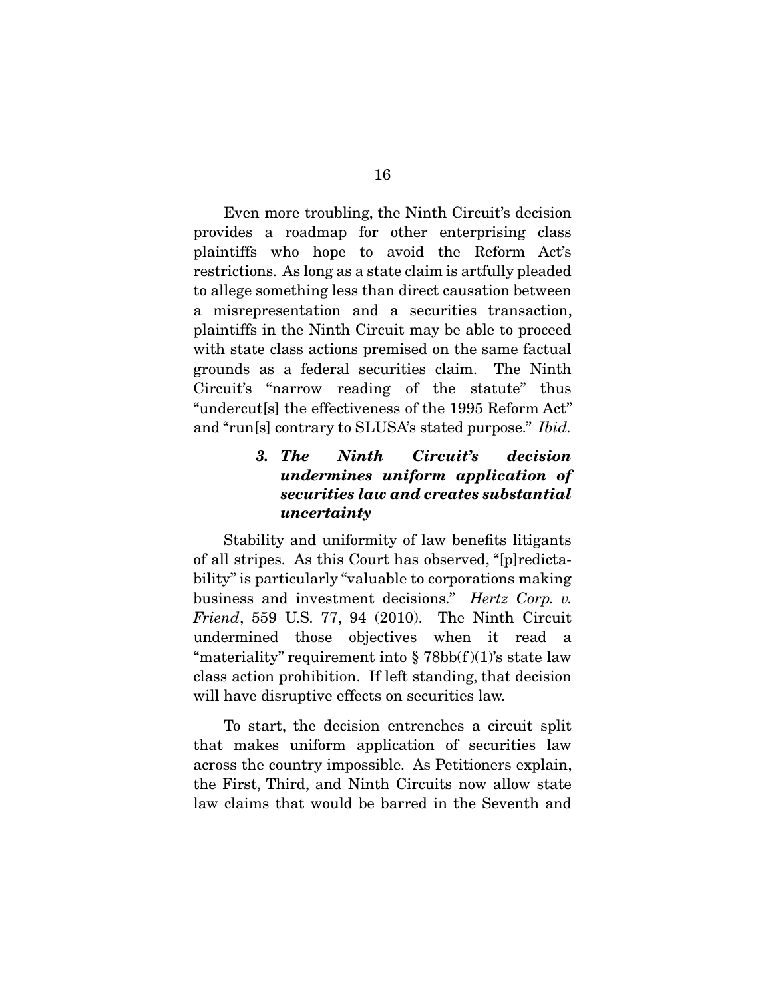Even more troubling, the Ninth Circuit's decision<br>provides a roadmap for other enterprising class plaintiffs who hope to avoid the Reform Act's restrictions. As long as a state claim is artfully pleaded to allege something less than direct causation between a misrepresentation and a securities transaction, plaintiffs in the Ninth Circuit may be able to proceed with state class actions premised on the same factual grounds as a federal securities claim. The Ninth Circuit's "narrow reading of the statute" thus "undercut<sup>[s]</sup> the effectiveness of the 1995 Reform Act" and "run[s] contrary to SLUSA's stated purpose." *Ibid.* 

## *3. The Ninth Circuit's decision undermines uniform application of securities law and creates substantial uncertainty*

Stability and uniformity of law benefits litigants<br>of all stripes. As this Court has observed, "[p] redictability" is particularly "valuable to corporations making business and investment decisions." *Hertz Corp. v.*<br>Friend, 550 US 77 04 (2010) The Ninth Circuit *Friend*, 559 U.S. 77, 94 (2010). The Ninth Circuit undermined those objectives when it read a "materiality" requirement into  $\S 78bb(f)(1)$ 's state law class action prohibition. If left standing, that decision class active prohibition. If you community, that decision will have disruptive effects on securities law.

 To start, the decision entrenches a circuit split across the country impossible. As Petitioners explain, the First, Third, and Ninth Circuits now allow state law claims that would be barred in the Seventh and law claims that would be barred in the Seventh and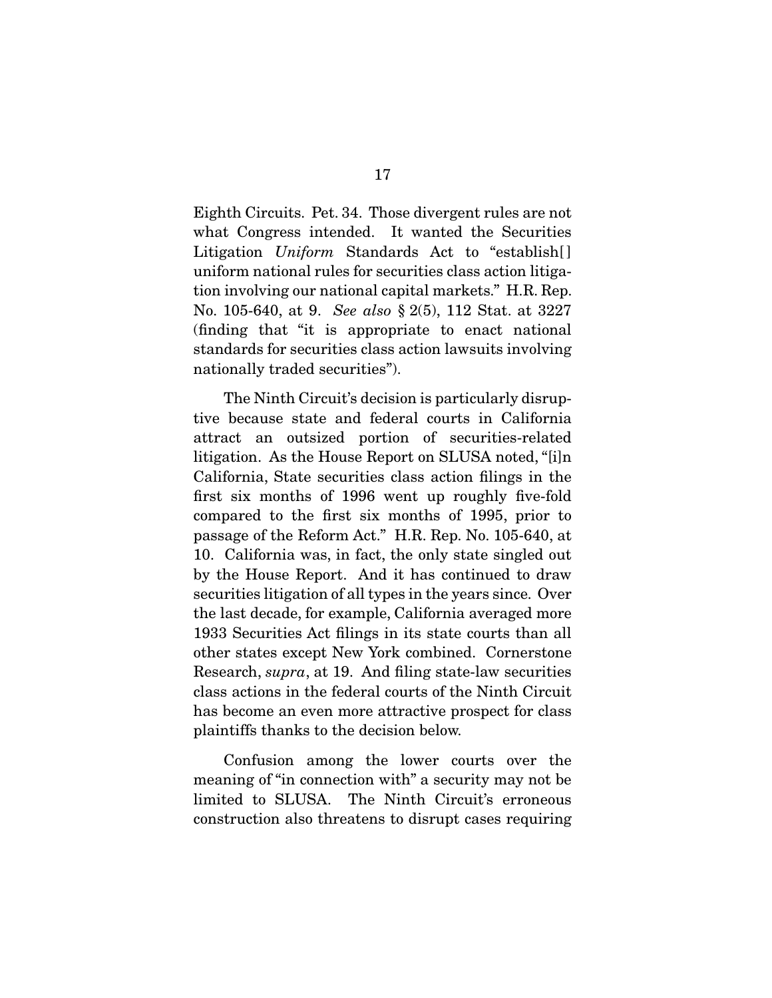Eighth Circuits. Pet. 34. Those divergent rules are not Litigation *Uniform* Standards Act to "establish[] uniform national rules for securities class action litigation involving our national capital markets." H.R. Rep. No. 105-640, at 9. *See also* § 2(5), 112 Stat. at 3227 (finding that "it is appropriate to enact national standards for securities class action lawsuits involving nationally traded securities". nationally traded securities").

The Ninth Circuit's decision is particularly disruptive because state and federal courts in California attract an outsized portion of securities-related litigation. As the House Report on SLUSA noted, "[i]n California, State securities class action filings in the first six months of 1996 went up roughly five-fold compared to the first six months of 1995, prior to passage of the Reform Act." H.R. Rep. No. 105-640, at 10. California was, in fact, the only state singled out by the House Report. And it has continued to draw securities litigation of all types in the years since. Over the last decade, for example, California averaged more. 1933 Securities Act filings in its state courts than all other states except New York combined. Cornerstone Research, *supra*, at 19. And filing state-law securities<br>class actions in the foloral courts of the Ninth Circuit class actions in the federal courts of the Ninth Circuit plaintiffs thanks to the decision below. plaintiffs thanks to the decision below.

Confusion among the lower courts over the meaning of "in connection with" a security may not be limited to SLUSA. The Ninth Circuit's erroneous construction also threatens to disrupt cases requiring construction also the catenas to disrupt cases requiring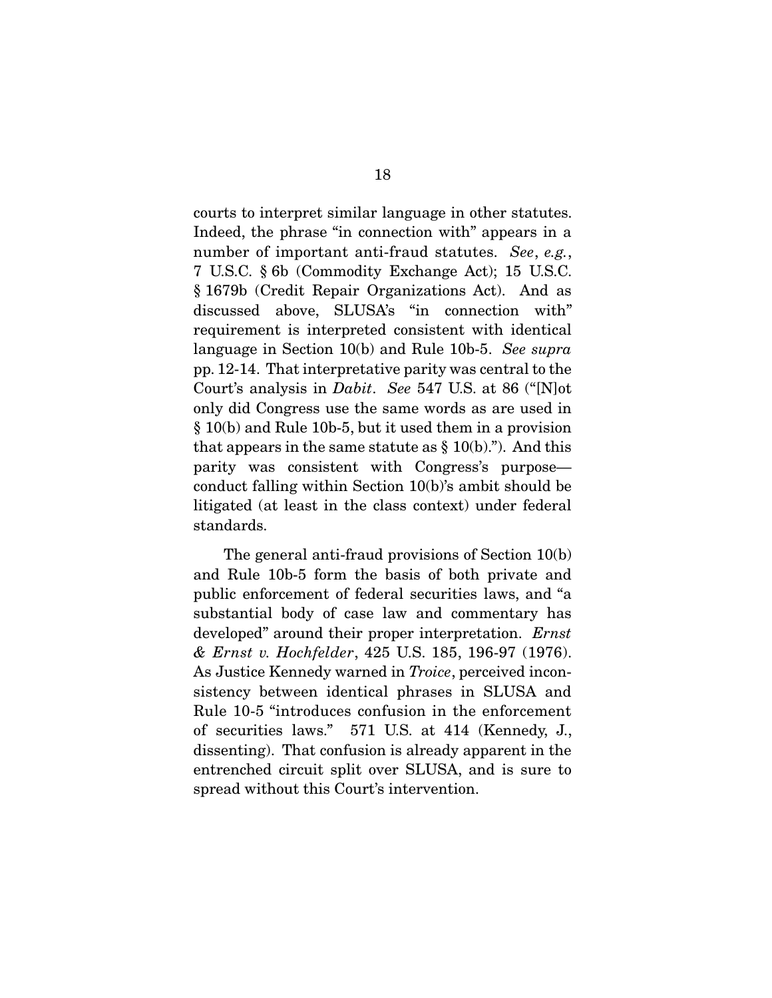courts to interpret similar language in other statutes.<br>Indeed, the phrase "in connection with" appears in a number of important anti-fraud statutes. *See*, *e.g.*,  $\tau$  IISC  $\frac{8}{5}$  (Commodity Exchange Act): 15 IISC 7 U.S.C. § 6b (Commodity Exchange Act); 15 U.S.C. discussed above, SLUSA's "in connection with" requirement is interpreted consistent with identical language in Section 10(b) and Rule 10b-5. *See supra*<br>np. 12.14. That interpretative perity was central to the process analysis in *Dabit*. *See* 547 U.S. at 86 ("[N]ot only did Congress use the same words as are used in only did Congress use the same words as are used in  $\S 10(b)$  and Rule 10b-5, but it used them in a provision that appears in the same statute as  $\S 10(b)$ ."). And this parity was consistent with Congress's purpose conduct falling within Section  $10(b)$ 's ambit should be litigated (at least in the class context) under federal standards. standards.

The general anti-fraud provisions of Section 10(b) and Rule 10b-5 form the basis of both private and public enforcement of federal securities laws, and "a substantial body of case law and commentary has developed" around their proper interpretation. *Ernst*<br>& Frnst v. Hockfolder, 425, US, 185, 196, 97 (1976) *& Ernst v. Hochfelder*, 425 U.S. 185, 196-97 (1976). As Justice Kennedy warned in *Troice*, perceived incon-Rule 10-5 "introduces confusion in the enforcement of securities laws." 571 U.S. at 414 (Kennedy, J., dissenting). That confusion is already apparent in the entrenched circuit split over SLUSA, and is sure to entrenched circuit split over SLUSA, and is sure to spread without this Court's intervention.